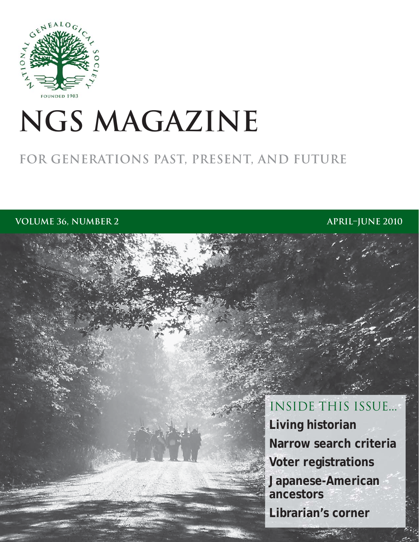

# **NGS magazine**

# **for generations past, present, and future**

**VOLUME 36, NUMBER 2 application 2010 application in the set of the set of the set of the set of the set of the set of the set of the set of the set of the set of the set of the set of the set of the set of the set o** 

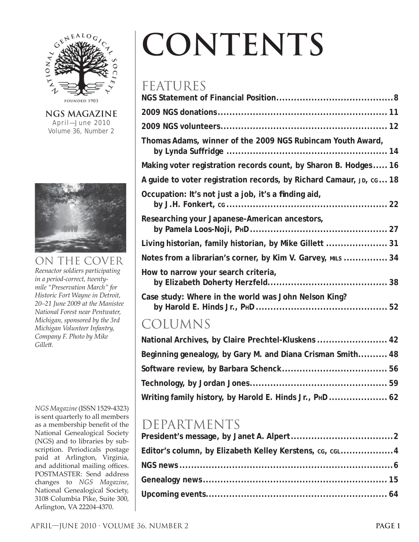

**NGS magazine** April—June 2010 Volume 36, Number 2



### on the cover

*Reenactor soldiers participating in a period-correct, twentymile "Preservation March" for Historic Fort Wayne in Detroit, 20–21 June 2009 at the Manistee National Forest near Pentwater, Michigan, sponsored by the 3rd Michigan Volunteer Infantry, Company F. Photo by Mike Gillett .*

*NGS Magazine* (ISSN 1529-4323) is sent quarterly to all members as a membership benefit of the National Genealogical Society (NGS) and to libraries by subscription. Periodicals postage paid at Arlington, Virginia, and additional mailing offices. POSTMASTER: Send address changes to *NGS Magazine*, National Genealogical Society, 3108 Columbia Pike, Suite 300, Arlington, VA 22204-4370.

# **contents**

## **FEATURES**

| 1 LI VI V I VLU                                                     |
|---------------------------------------------------------------------|
|                                                                     |
|                                                                     |
|                                                                     |
| Thomas Adams, winner of the 2009 NGS Rubincam Youth Award,          |
| Making voter registration records count, by Sharon B. Hodges 16     |
| A guide to voter registration records, by Richard Camaur, JD, cG 18 |
| Occupation: It's not just a job, it's a finding aid,                |
| Researching your Japanese-American ancestors,                       |
| Living historian, family historian, by Mike Gillett  31             |
| Notes from a librarian's corner, by Kim V. Garvey, MILS  34         |
| How to narrow your search criteria,                                 |
| Case study: Where in the world was John Nelson King?                |

# **COLUMNS**

| National Archives, by Claire Prechtel-Kluskens  42         |  |
|------------------------------------------------------------|--|
| Beginning genealogy, by Gary M. and Diana Crisman Smith 48 |  |
|                                                            |  |
|                                                            |  |
| Writing family history, by Harold E. Hinds Jr., PHD  62    |  |

# Departments

| Editor's column, by Elizabeth Kelley Kerstens, cg, cg4 |  |
|--------------------------------------------------------|--|
|                                                        |  |
|                                                        |  |
|                                                        |  |
|                                                        |  |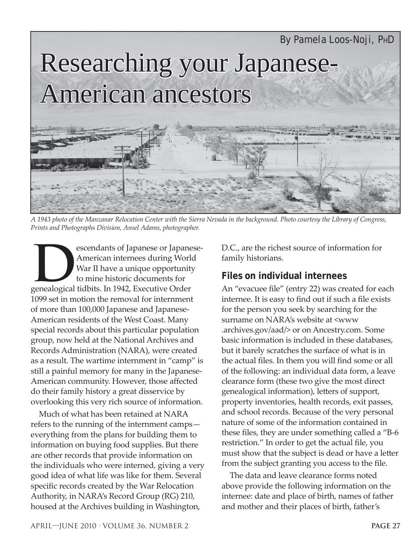

*A 1943 photo of the Manzanar Relocation Center with the Sierra Nevada in the background. Photo courtesy the Library of Congress, Prints and Photographs Division, Ansel Adams, photographer.*

escendants of Japanese or Japanese-American internees during World War II have a unique opportunity to mine historic documents for genealogical tidbits. In 1942, Executive Order 1099 set in motion the removal for internment of more than 100,000 Japanese and Japanese-American residents of the West Coast. Many special records about this particular population group, now held at the National Archives and Records Administration (NARA), were created as a result. The wartime internment in "camp" is still a painful memory for many in the Japanese-American community. However, those affected do their family history a great disservice by overlooking this very rich source of information.

Much of what has been retained at NARA refers to the running of the internment camps everything from the plans for building them to information on buying food supplies. But there are other records that provide information on the individuals who were interned, giving a very good idea of what life was like for them. Several specific records created by the War Relocation Authority, in NARA's Record Group (RG) 210, housed at the Archives building in Washington,

D.C., are the richest source of information for family historians.

### **Files on individual internees**

An "evacuee file" (entry 22) was created for each internee. It is easy to find out if such a file exists for the person you seek by searching for the surname on NARA's website at <www .archives.gov/aad/> or on Ancestry.com. Some basic information is included in these databases, but it barely scratches the surface of what is in the actual files. In them you will find some or all of the following: an individual data form, a leave clearance form (these two give the most direct genealogical information), letters of support, property inventories, health records, exit passes, and school records. Because of the very personal nature of some of the information contained in these files, they are under something called a "B-6" restriction." In order to get the actual file, you must show that the subject is dead or have a letter from the subject granting you access to the file.

The data and leave clearance forms noted above provide the following information on the internee: date and place of birth, names of father and mother and their places of birth, father's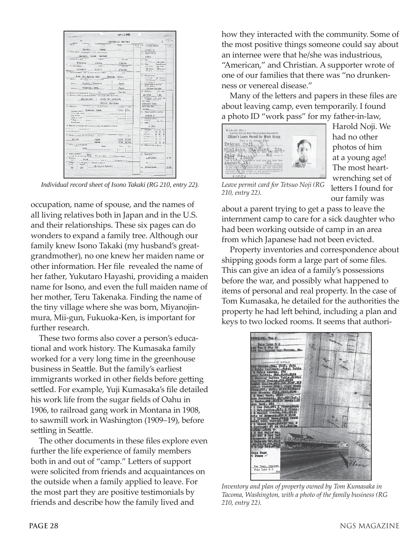| LOST ATACHER . Brief, SI                                                                                                     | <b>MAY 1 0 1943</b>            |             |                                                                                                                                                  | n.                  |
|------------------------------------------------------------------------------------------------------------------------------|--------------------------------|-------------|--------------------------------------------------------------------------------------------------------------------------------------------------|---------------------|
| v.                                                                                                                           |                                |             |                                                                                                                                                  | $E$ / $\frac{1}{2}$ |
|                                                                                                                              | INDIVIDUAL RECORD              |             |                                                                                                                                                  |                     |
| 1. Nassan<br><b>Cad</b><br>Pol<br>$-46$                                                                                      | State.                         | <b>HEST</b> | 14. Individual number:                                                                                                                           | <b>REPUDE</b>       |
| Takeki.<br>Isonn                                                                                                             |                                |             | lonps. G                                                                                                                                         |                     |
| is. Other counts: strateds matter consist, member weeks)                                                                     |                                |             | 17. Exmiy members                                                                                                                                |                     |
| Esyushi, Isono (moidea)                                                                                                      |                                |             | 19302                                                                                                                                            |                     |
| 2. Balrearias Center:<br>Acres                                                                                               | <b>Party duty</b>              |             | 18 Sec.                                                                                                                                          |                     |
| Talelake<br>Z20 D-A                                                                                                          | 7/24/42                        |             | 2. Mre<br>> (% Proud)<br>U. Raper<br>Spought (20%)                                                                                               |                     |
| 4. Ascouldy Conters<br>Attorn                                                                                                | Jeer Car                       |             | FET Wide<br><b>ITI Wike</b>                                                                                                                      |                     |
| Pinodelo<br>$B - 53 - 5$                                                                                                     | 5/13/48                        |             | 2 X Japanese PER January<br>2.77.09<br><b>PER Other</b>                                                                                          |                     |
| 4. Pressue address contract vertex or it sits contor-<br>CU.                                                                 | $S_{2}$                        |             |                                                                                                                                                  |                     |
| Grus Ho. Tacous Wasy                                                                                                         | Theora, Wash.                  |             | 14. Market autom                                                                                                                                 |                     |
| New at finite, ratherman of mater-<br>C. Puests                                                                              | <b>Goography</b>               |             | FCI Single 1 - 120 Macdoll<br><sup>1</sup> [] Welcout 4 <sup>-</sup> Discount                                                                    |                     |
| Mayaghi, Yakutayo<br>Fiches.                                                                                                 | 70200                          |             | -11 Syncol                                                                                                                                       |                     |
|                                                                                                                              |                                |             | 15. Relationship to hand of                                                                                                                      |                     |
| Maine Tukenake, Tore                                                                                                         | $z$ apo, $z$                   |             | Mother-in-law                                                                                                                                    |                     |
|                                                                                                                              | Sheed farver                   |             | 20. Birthdown<br>30. Apr                                                                                                                         |                     |
| 6. Person to uselfy in case of estamptical (Scientishis, range and address).                                                 |                                |             | 10/8/83<br>50                                                                                                                                    |                     |
| Son-in-low : Jindi Ton Kunnenkn                                                                                              |                                |             | $\frac{21}{10}$ . Similarly, $\frac{10}{100}$ , $\frac{10}{100}$ , and $\frac{10}{100}$ , $\frac{10}{100}$ . $\frac{10}{100}$ , $\frac{10}{100}$ |                     |
| 7800-E Talelake                                                                                                              |                                |             |                                                                                                                                                  |                     |
| 7. Etnosfon-<br>Trend President                                                                                              |                                |             | Mirzojim Mure<br>Tulmoin Ken                                                                                                                     |                     |
|                                                                                                                              | $km -$<br>$T =$                |             | Jerem.                                                                                                                                           |                     |
| Greener shad . Fulcacks, Japan                                                                                               | $4/90$ $1/94$                  |             | 22. Alian registerion number:                                                                                                                    |                     |
| Audia Jigh reserved<br>High what                                                                                             |                                |             | 414845 3                                                                                                                                         |                     |
| Russia shed                                                                                                                  |                                |             | 11. Agending schools                                                                                                                             |                     |
| College<br>Penerations.                                                                                                      |                                |             | 411 Yes 4 No                                                                                                                                     |                     |
| 7s. Deyres, educational specialisations, homes, and significant arrivines.                                                   |                                |             | 24. Gradet                                                                                                                                       |                     |
|                                                                                                                              |                                |             | & yrs.                                                                                                                                           |                     |
|                                                                                                                              |                                |             | 37. Language: Southway, West<br>$5.43$ $\ldots$ $7.7$                                                                                            |                     |
| A. Residence conside the Drivet States  Occurr                                                                               | Pire                           |             | Spatiations of the                                                                                                                               | z                   |
|                                                                                                                              | 28.1                           |             | <b>Grandmann</b> FL<br>п<br>leaza  El<br>n                                                                                                       |                     |
| Sho Sh<br>Junea<br>Tepan.                                                                                                    | 5/20<br>10/20<br>57.10<br>6715 |             | LI LI                                                                                                                                            |                     |
| c. Milkary or most service:                                                                                                  |                                |             | $\Box$ . Processes and the set of $\Box$<br>□<br>26. Masor arrivity or storage                                                                   | о                   |
| <b>DALG</b><br>Dere, p<br>none                                                                                               | Page on<br><b>Lines</b>        |             |                                                                                                                                                  |                     |
|                                                                                                                              |                                |             |                                                                                                                                                  |                     |
| 0. Public unistance:<br>поло                                                                                                 |                                |             | 12. Comparison:                                                                                                                                  |                     |
| 111 Ale to dependent children 2 = And to Kind 211 000 age and never<br>1. Provisor                                           |                                |             | n. Florist                                                                                                                                       | $0 - 72$            |
| E0B<br>Server                                                                                                                |                                |             |                                                                                                                                                  |                     |
| District 171<br>[12], Weights [15]. Physical condition:<br>$\langle \hat{n} \rangle$ , $\langle \hat{n} \rangle$<br>treressi |                                |             | $8 + 3$                                                                                                                                          |                     |
| No anjor isferts<br>Se.<br>325                                                                                               |                                |             | an. Southwirds                                                                                                                                   | $0 - 25$            |
|                                                                                                                              |                                |             |                                                                                                                                                  |                     |
|                                                                                                                              |                                |             | 21% политика                                                                                                                                     |                     |

*Individual record sheet of Isono Takaki (RG 210, entry 22).*

occupation, name of spouse, and the names of all living relatives both in Japan and in the U.S. and their relationships. These six pages can do wonders to expand a family tree. Although our family knew Isono Takaki (my husband's greatgrandmother), no one knew her maiden name or other information. Her file revealed the name of her father, Yukutaro Hayashi, providing a maiden name for Isono, and even the full maiden name of her mother, Teru Takenaka. Finding the name of the tiny village where she was born, Miyanojinmura, Mii-gun, Fukuoka-Ken, is important for further research.

These two forms also cover a person's educational and work history. The Kumasaka family worked for a very long time in the greenhouse business in Seattle. But the family's earliest immigrants worked in other fields before getting settled. For example, Yuji Kumasaka's file detailed his work life from the sugar fields of Oahu in 1906, to railroad gang work in Montana in 1908, to sawmill work in Washington (1909–19), before settling in Seattle.

The other documents in these files explore even further the life experience of family members both in and out of "camp." Letters of support were solicited from friends and acquaintances on the outside when a family applied to leave. For the most part they are positive testimonials by friends and describe how the family lived and

how they interacted with the community. Some of the most positive things someone could say about an internee were that he/she was industrious, "American," and Christian. A supporter wrote of one of our families that there was "no drunkenness or venereal disease."

Many of the letters and papers in these files are about leaving camp, even temporarily. I found a photo ID "work pass" for my father-in-law,



Harold Noji. We had no other photos of him at a young age! The most heartwrenching set of letters I found for our family was

*Leave permit card for Tetsuo Noji (RG 210, entry 22).*

about a parent trying to get a pass to leave the internment camp to care for a sick daughter who had been working outside of camp in an area from which Japanese had not been evicted.

Property inventories and correspondence about shipping goods form a large part of some files. This can give an idea of a family's possessions before the war, and possibly what happened to items of personal and real property. In the case of Tom Kumasaka, he detailed for the authorities the property he had left behind, including a plan and keys to two locked rooms. It seems that authori-



*Inventory and plan of property owned by Tom Kumasaka in Tacoma, Washington, with a photo of the family business (RG 210, entry 22).*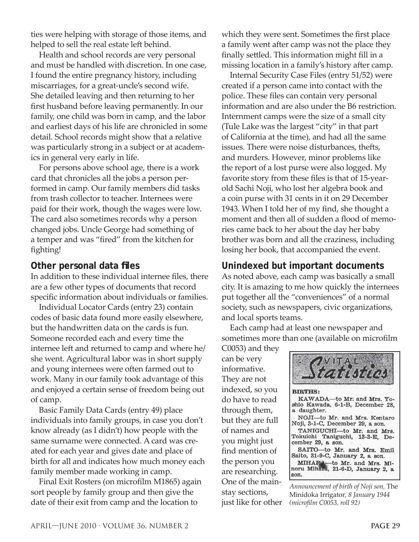ties were helping with storage of those items, and helped to sell the real estate left behind.

Health and school records are very personal and must be handled with discretion. In one case, I found the entire pregnancy history, including miscarriages, for a great-uncle's second wife. She detailed leaving and then returning to her first husband before leaving permanently. In our family, one child was born in camp, and the labor and earliest days of his life are chronicled in some detail. School records might show that a relative was particularly strong in a subject or at academics in general very early in life.

For persons above school age, there is a work card that chronicles all the jobs a person performed in camp. Our family members did tasks from trash collector to teacher. Internees were paid for their work, though the wages were low. The card also sometimes records why a person changed jobs. Uncle George had something of a temper and was "fired" from the kitchen for fighting!

#### **Other personal data fi les**

In addition to these individual internee files, there are a few other types of documents that record specific information about individuals or families.

Individual Locator Cards (entry 23) contain codes of basic data found more easily elsewhere, but the handwritten data on the cards is fun. Someone recorded each and every time the internee left and returned to camp and where he/ she went. Agricultural labor was in short supply and young internees were often farmed out to work. Many in our family took advantage of this and enjoyed a certain sense of freedom being out of camp.

Basic Family Data Cards (entry 49) place individuals into family groups, in case you don't know already (as I didn't) how people with the same surname were connected. A card was created for each year and gives date and place of birth for all and indicates how much money each family member made working in camp.

Final Exit Rosters (on microfilm M1865) again sort people by family group and then give the date of their exit from camp and the location to

which they were sent. Sometimes the first place a family went after camp was not the place they finally settled. This information might fill in a missing location in a family's history after camp.

Internal Security Case Files (entry 51/52) were created if a person came into contact with the police. These files can contain very personal information and are also under the B6 restriction. Internment camps were the size of a small city (Tule Lake was the largest "city" in that part of California at the time), and had all the same issues. There were noise disturbances, thefts, and murders. However, minor problems like the report of a lost purse were also logged. My favorite story from these files is that of 15-yearold Sachi Noji, who lost her algebra book and a coin purse with 31 cents in it on 29 December 1943. When I told her of my find, she thought a moment and then all of sudden a flood of memories came back to her about the day her baby brother was born and all the craziness, including losing her book, that accompanied the event.

#### **Unindexed but important documents**

As noted above, each camp was basically a small city. It is amazing to me how quickly the internees put together all the "conveniences" of a normal society, such as newspapers, civic organizations, and local sports teams.

Each camp had at least one newspaper and sometimes more than one (available on microfilm

C0053) and they can be very informative. They are not indexed, so you do have to read through them, but they are full of names and you might just find mention of the person you are researching. One of the mainstay sections, just like for other



*Announcement of birth of Noji son,* The Minidoka Irrigator*, 8 January 1944 (microfi lm C0053, roll 92)*